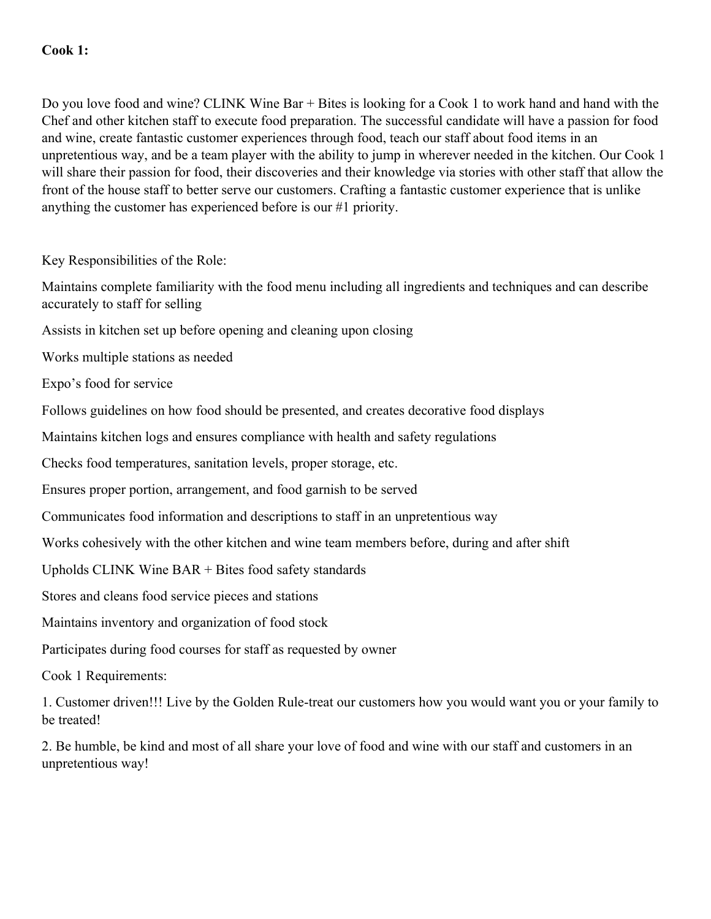Do you love food and wine? CLINK Wine Bar + Bites is looking for a Cook 1 to work hand and hand with the Chef and other kitchen staff to execute food preparation. The successful candidate will have a passion for food and wine, create fantastic customer experiences through food, teach our staff about food items in an unpretentious way, and be a team player with the ability to jump in wherever needed in the kitchen. Our Cook 1 will share their passion for food, their discoveries and their knowledge via stories with other staff that allow the front of the house staff to better serve our customers. Crafting a fantastic customer experience that is unlike anything the customer has experienced before is our #1 priority.

Key Responsibilities of the Role:

Maintains complete familiarity with the food menu including all ingredients and techniques and can describe accurately to staff for selling

Assists in kitchen set up before opening and cleaning upon closing

Works multiple stations as needed

Expo's food for service

Follows guidelines on how food should be presented, and creates decorative food displays

Maintains kitchen logs and ensures compliance with health and safety regulations

Checks food temperatures, sanitation levels, proper storage, etc.

Ensures proper portion, arrangement, and food garnish to be served

Communicates food information and descriptions to staff in an unpretentious way

Works cohesively with the other kitchen and wine team members before, during and after shift

Upholds CLINK Wine BAR + Bites food safety standards

Stores and cleans food service pieces and stations

Maintains inventory and organization of food stock

Participates during food courses for staff as requested by owner

Cook 1 Requirements:

1. Customer driven!!! Live by the Golden Rule-treat our customers how you would want you or your family to be treated!

2. Be humble, be kind and most of all share your love of food and wine with our staff and customers in an unpretentious way!